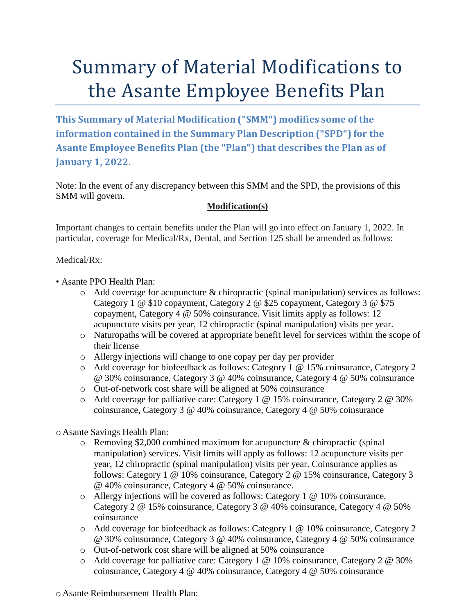## Summary of Material Modifications to the Asante Employee Benefits Plan

**This Summary of Material Modification ("SMM") modifies some of the information contained in the Summary Plan Description ("SPD") for the Asante Employee Benefits Plan (the "Plan") that describes the Plan as of January 1, 2022.**

Note: In the event of any discrepancy between this SMM and the SPD, the provisions of this SMM will govern.

## **Modification(s)**

Important changes to certain benefits under the Plan will go into effect on January 1, 2022. In particular, coverage for Medical/Rx, Dental, and Section 125 shall be amended as follows:

Medical/Rx:

- Asante PPO Health Plan:
	- $\circ$  Add coverage for acupuncture & chiropractic (spinal manipulation) services as follows: Category 1 @ \$10 copayment, Category 2 @ \$25 copayment, Category 3 @ \$75 copayment, Category 4 @ 50% coinsurance. Visit limits apply as follows: 12 acupuncture visits per year, 12 chiropractic (spinal manipulation) visits per year.
	- o Naturopaths will be covered at appropriate benefit level for services within the scope of their license
	- o Allergy injections will change to one copay per day per provider
	- o Add coverage for biofeedback as follows: Category 1 @ 15% coinsurance, Category 2 @ 30% coinsurance, Category 3 @ 40% coinsurance, Category 4 @ 50% coinsurance
	- o Out-of-network cost share will be aligned at 50% coinsurance
	- o Add coverage for palliative care: Category 1 @ 15% coinsurance, Category 2 @ 30% coinsurance, Category 3 @ 40% coinsurance, Category 4 @ 50% coinsurance

o Asante Savings Health Plan:

- o Removing \$2,000 combined maximum for acupuncture & chiropractic (spinal manipulation) services. Visit limits will apply as follows: 12 acupuncture visits per year, 12 chiropractic (spinal manipulation) visits per year. Coinsurance applies as follows: Category 1 @ 10% coinsurance, Category 2 @ 15% coinsurance, Category 3 @ 40% coinsurance, Category 4 @ 50% coinsurance.
- $\circ$  Allergy injections will be covered as follows: Category 1 @ 10% coinsurance, Category 2 @ 15% coinsurance, Category 3 @ 40% coinsurance, Category 4 @ 50% coinsurance
- o Add coverage for biofeedback as follows: Category 1 @ 10% coinsurance, Category 2 @ 30% coinsurance, Category 3 @ 40% coinsurance, Category 4 @ 50% coinsurance
- o Out-of-network cost share will be aligned at 50% coinsurance
- o Add coverage for palliative care: Category 1 @ 10% coinsurance, Category 2 @ 30% coinsurance, Category 4 @ 40% coinsurance, Category 4 @ 50% coinsurance

o Asante Reimbursement Health Plan: